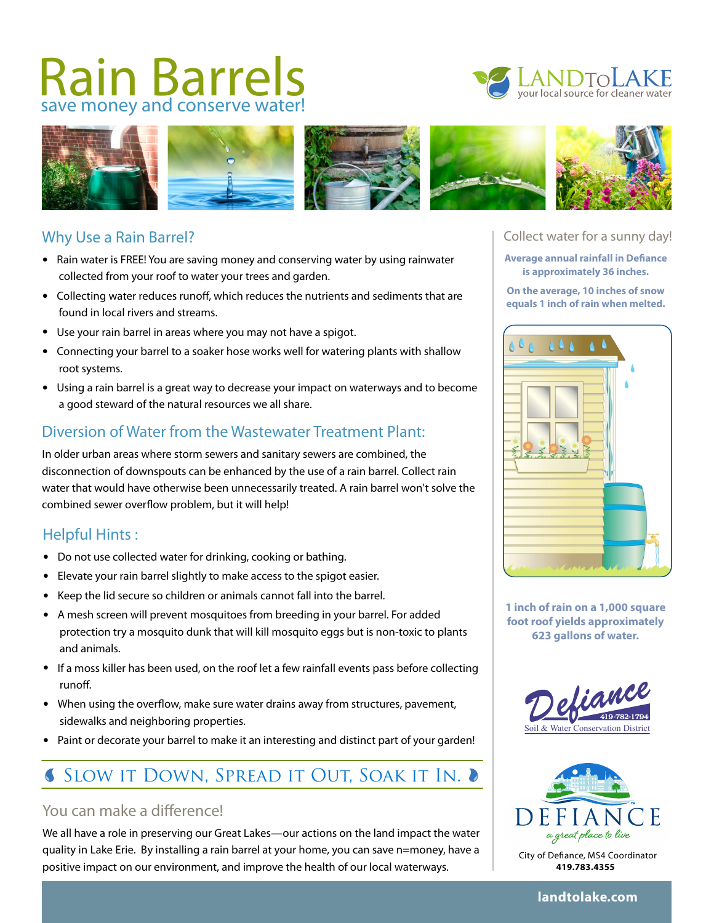# Rain Barrels





#### Why Use a Rain Barrel?

- Rain water is FREE! You are saving money and conserving water by using rainwater collected from your roof to water your trees and garden.
- Collecting water reduces runoff, which reduces the nutrients and sediments that are found in local rivers and streams.
- Use your rain barrel in areas where you may not have a spigot.
- Connecting your barrel to a soaker hose works well for watering plants with shallow root systems.
- Using a rain barrel is a great way to decrease your impact on waterways and to become a good steward of the natural resources we all share.

# Diversion of Water from the Wastewater Treatment Plant:

In older urban areas where storm sewers and sanitary sewers are combined, the disconnection of downspouts can be enhanced by the use of a rain barrel. Collect rain water that would have otherwise been unnecessarily treated. A rain barrel won't solve the combined sewer overflow problem, but it will help!

# Helpful Hints :

- Do not use collected water for drinking, cooking or bathing.
- Elevate your rain barrel slightly to make access to the spigot easier.
- Keep the lid secure so children or animals cannot fall into the barrel.
- A mesh screen will prevent mosquitoes from breeding in your barrel. For added protection try a mosquito dunk that will kill mosquito eggs but is non-toxic to plants and animals.
- If a moss killer has been used, on the roof let a few rainfall events pass before collecting runoff.
- When using the overflow, make sure water drains away from structures, pavement, sidewalks and neighboring properties.
- Paint or decorate your barrel to make it an interesting and distinct part of your garden!

# **SLOW IT DOWN, SPREAD IT OUT, SOAK IT IN. ●**

#### You can make a difference!

We all have a role in preserving our Great Lakes—our actions on the land impact the water quality in Lake Erie. By installing a rain barrel at your home, you can save n=money, have a positive impact on our environment, and improve the health of our local waterways.

#### Collect water for a sunny day!

**Average annual rainfall in Defiance is approximately 36 inches.** 

**On the average, 10 inches of snow equals 1 inch of rain when melted.** 



**1 inch of rain on a 1,000 square foot roof yields approximately 623 gallons of water.** 





City of Defiance, MS4 Coordinator **419.783.4355**

#### **landtolake.com**